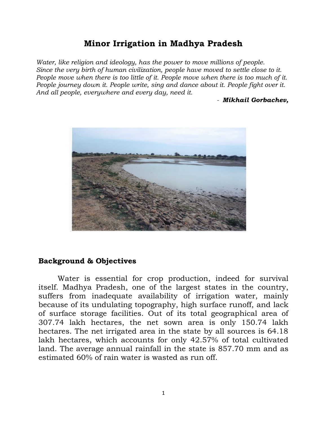## **Minor Irrigation in Madhya Pradesh**

*Water, like religion and ideology, has the power to move millions of people. Since the very birth of human civilization, people have moved to settle close to it. People move when there is too little of it. People move when there is too much of it. People journey down it. People write, sing and dance about it. People fight over it. And all people, everywhere and every day, need it.*

*- Mikhail Gorbachev,*



## **Background & Objectives**

Water is essential for crop production, indeed for survival itself. Madhya Pradesh, one of the largest states in the country, suffers from inadequate availability of irrigation water, mainly because of its undulating topography, high surface runoff, and lack of surface storage facilities. Out of its total geographical area of 307.74 lakh hectares, the net sown area is only 150.74 lakh hectares. The net irrigated area in the state by all sources is 64.18 lakh hectares, which accounts for only 42.57% of total cultivated land. The average annual rainfall in the state is 857.70 mm and as estimated 60% of rain water is wasted as run off.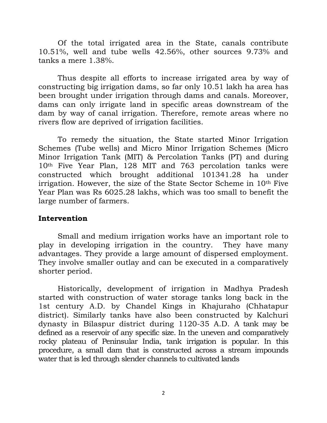Of the total irrigated area in the State, canals contribute 10.51%, well and tube wells 42.56%, other sources 9.73% and tanks a mere 1.38%.

Thus despite all efforts to increase irrigated area by way of constructing big irrigation dams, so far only 10.51 lakh ha area has been brought under irrigation through dams and canals. Moreover, dams can only irrigate land in specific areas downstream of the dam by way of canal irrigation. Therefore, remote areas where no rivers flow are deprived of irrigation facilities.

To remedy the situation, the State started Minor Irrigation Schemes (Tube wells) and Micro Minor Irrigation Schemes (Micro Minor Irrigation Tank (MIT) & Percolation Tanks (PT) and during 10th Five Year Plan, 128 MIT and 763 percolation tanks were constructed which brought additional 101341.28 ha under irrigation. However, the size of the State Sector Scheme in 10th Five Year Plan was Rs 6025.28 lakhs, which was too small to benefit the large number of farmers.

## **Intervention**

Small and medium irrigation works have an important role to play in developing irrigation in the country. They have many advantages. They provide a large amount of dispersed employment. They involve smaller outlay and can be executed in a comparatively shorter period.

Historically, development of irrigation in Madhya Pradesh started with construction of water storage tanks long back in the 1st century A.D. by Chandel Kings in Khajuraho (Chhatapur district). Similarly tanks have also been constructed by Kalchuri dynasty in Bilaspur district during 1120-35 A.D. A tank may be defined as a reservoir of any specific size. In the uneven and comparatively rocky plateau of Peninsular India, tank irrigation is popular. In this procedure, a small dam that is constructed across a stream impounds water that is led through slender channels to cultivated lands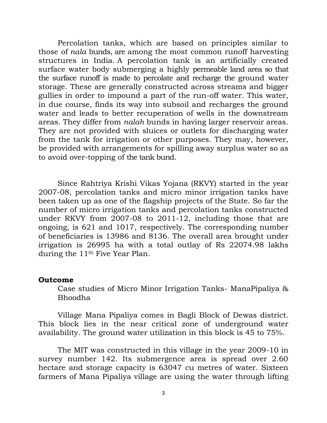Percolation tanks, which are based on principles similar to those of *nala* bunds, are among the most common runoff harvesting structures in India. A percolation tank is an artificially created surface water body submerging a highly permeable land area so that the surface runoff is made to percolate and recharge the ground water storage. These are generally constructed across streams and bigger gullies in order to impound a part of the run-off water. This water, in due course, finds its way into subsoil and recharges the ground water and leads to better recuperation of wells in the downstream areas. They differ from *nalah* bunds in having larger reservoir areas. They are not provided with sluices or outlets for discharging water from the tank for irrigation or other purposes. They may, however, be provided with arrangements for spilling away surplus water so as to avoid over-topping of the tank bund.

Since Rahtriya Krishi Vikas Yojana (RKVY) started in the year 2007-08, percolation tanks and micro minor irrigation tanks have been taken up as one of the flagship projects of the State. So far the number of micro irrigation tanks and percolation tanks constructed under RKVY from 2007-08 to 2011-12, including those that are ongoing, is 621 and 1017, respectively. The corresponding number of beneficiaries is 13986 and 8136. The overall area brought under irrigation is 26995 ha with a total outlay of Rs 22074.98 lakhs during the 11th Five Year Plan.

## **Outcome**

Case studies of Micro Minor Irrigation Tanks- ManaPipaliya & Bhoodha

Village Mana Pipaliya comes in Bagli Block of Dewas district. This block lies in the near critical zone of underground water availability. The ground water utilization in this block is 45 to 75%.

The MIT was constructed in this village in the year 2009-10 in survey number 142. Its submergence area is spread over 2.60 hectare and storage capacity is 63047 cu metres of water. Sixteen farmers of Mana Pipaliya village are using the water through lifting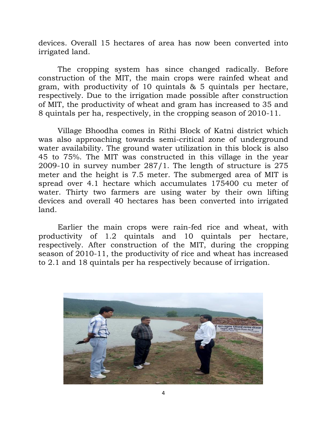devices. Overall 15 hectares of area has now been converted into irrigated land.

The cropping system has since changed radically. Before construction of the MIT, the main crops were rainfed wheat and gram, with productivity of 10 quintals & 5 quintals per hectare, respectively. Due to the irrigation made possible after construction of MIT, the productivity of wheat and gram has increased to 35 and 8 quintals per ha, respectively, in the cropping season of 2010-11.

Village Bhoodha comes in Rithi Block of Katni district which was also approaching towards semi-critical zone of underground water availability. The ground water utilization in this block is also 45 to 75%. The MIT was constructed in this village in the year 2009-10 in survey number 287/1. The length of structure is 275 meter and the height is 7.5 meter. The submerged area of MIT is spread over 4.1 hectare which accumulates 175400 cu meter of water. Thirty two farmers are using water by their own lifting devices and overall 40 hectares has been converted into irrigated land.

Earlier the main crops were rain-fed rice and wheat, with productivity of 1.2 quintals and 10 quintals per hectare, respectively. After construction of the MIT, during the cropping season of 2010-11, the productivity of rice and wheat has increased to 2.1 and 18 quintals per ha respectively because of irrigation.

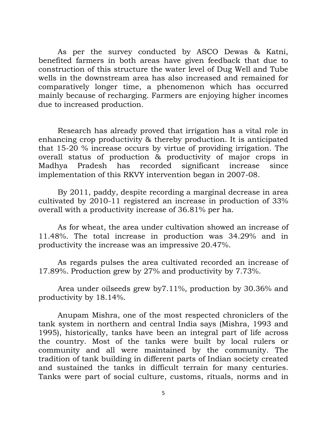As per the survey conducted by ASCO Dewas & Katni, benefited farmers in both areas have given feedback that due to construction of this structure the water level of Dug Well and Tube wells in the downstream area has also increased and remained for comparatively longer time, a phenomenon which has occurred mainly because of recharging. Farmers are enjoying higher incomes due to increased production.

Research has already proved that irrigation has a vital role in enhancing crop productivity & thereby production. It is anticipated that 15-20 % increase occurs by virtue of providing irrigation. The overall status of production & productivity of major crops in Madhya Pradesh has recorded significant increase since implementation of this RKVY intervention began in 2007-08.

By 2011, paddy, despite recording a marginal decrease in area cultivated by 2010-11 registered an increase in production of 33% overall with a productivity increase of 36.81% per ha.

As for wheat, the area under cultivation showed an increase of 11.48%. The total increase in production was 34.29% and in productivity the increase was an impressive 20.47%.

As regards pulses the area cultivated recorded an increase of 17.89%. Production grew by 27% and productivity by 7.73%.

Area under oilseeds grew by7.11%, production by 30.36% and productivity by 18.14%.

Anupam Mishra, one of the most respected chroniclers of the tank system in northern and central India says (Mishra, 1993 and 1995), historically, tanks have been an integral part of life across the country. Most of the tanks were built by local rulers or community and all were maintained by the community. The tradition of tank building in different parts of Indian society created and sustained the tanks in difficult terrain for many centuries. Tanks were part of social culture, customs, rituals, norms and in